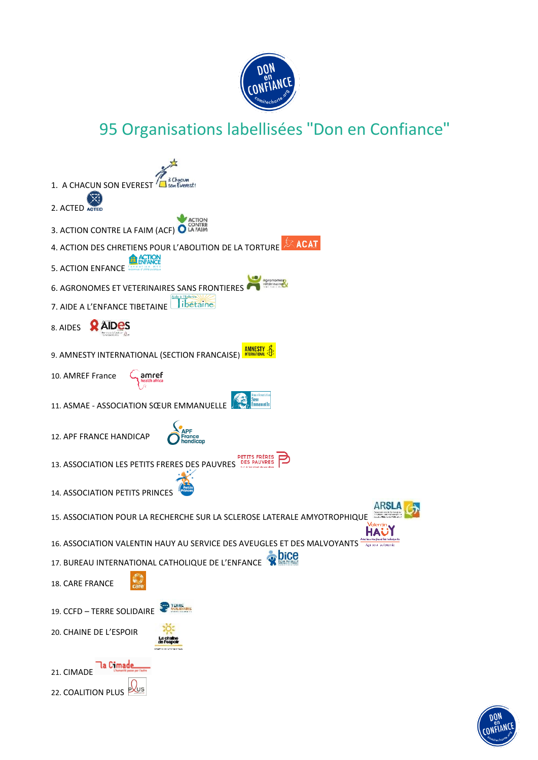

## 95 Organisations labellisées "Don en Confiance"



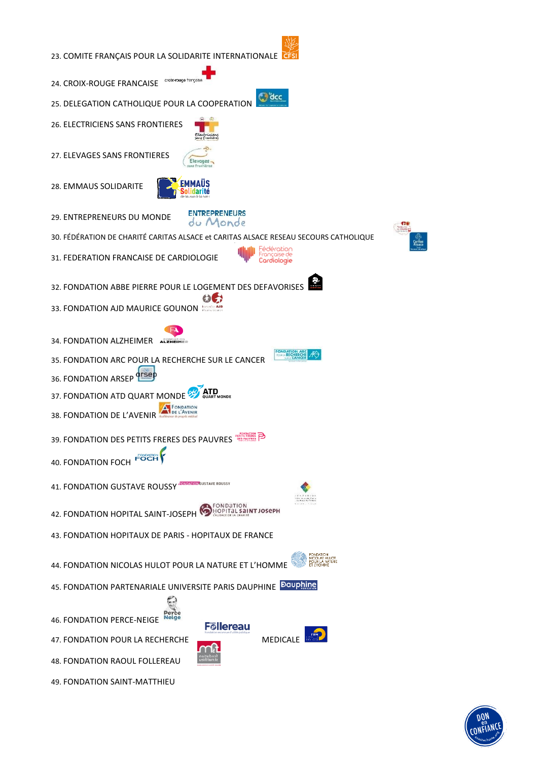

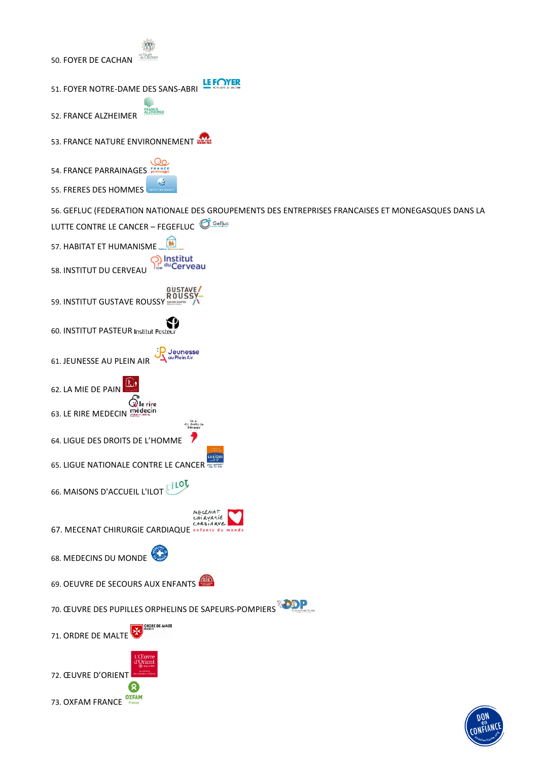